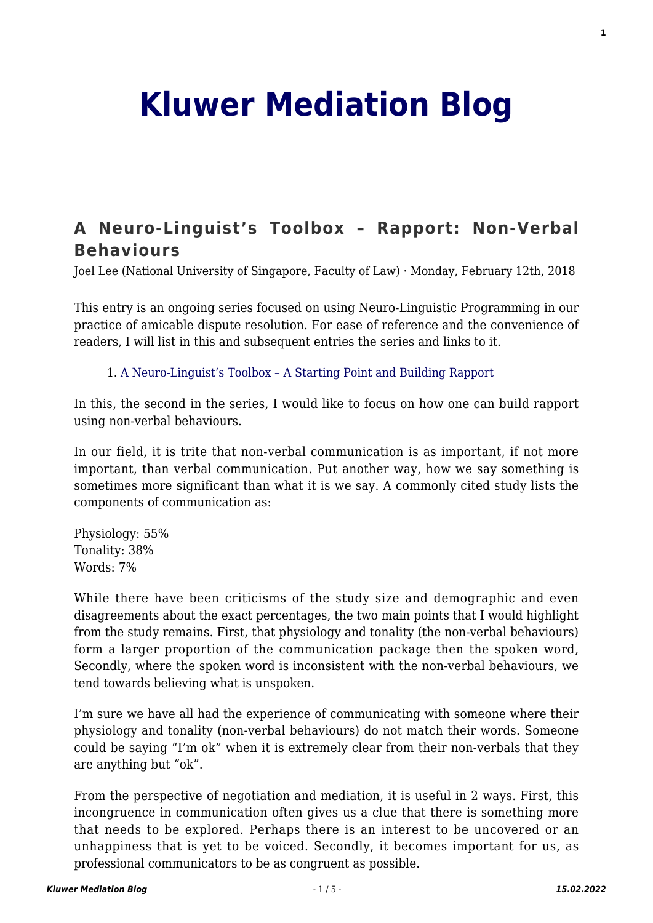## **[Kluwer Mediation Blog](http://mediationblog.kluwerarbitration.com/)**

## **[A Neuro-Linguist's Toolbox – Rapport: Non-Verbal](http://mediationblog.kluwerarbitration.com/2018/02/12/neuro-linguists-toolbox-rapport-non-verbal-behaviours/) [Behaviours](http://mediationblog.kluwerarbitration.com/2018/02/12/neuro-linguists-toolbox-rapport-non-verbal-behaviours/)**

Joel Lee (National University of Singapore, Faculty of Law) · Monday, February 12th, 2018

This entry is an ongoing series focused on using Neuro-Linguistic Programming in our practice of amicable dispute resolution. For ease of reference and the convenience of readers, I will list in this and subsequent entries the series and links to it.

1. [A Neuro-Linguist's Toolbox – A Starting Point and Building Rapport](http://mediationblog.kluwerarbitration.com/2018/01/12/neuro-linguists-toolbox-starting-point-building-rapport/)

In this, the second in the series, I would like to focus on how one can build rapport using non-verbal behaviours.

In our field, it is trite that non-verbal communication is as important, if not more important, than verbal communication. Put another way, how we say something is sometimes more significant than what it is we say. A commonly cited study lists the components of communication as:

Physiology: 55% Tonality: 38% Words: 7%

While there have been criticisms of the study size and demographic and even disagreements about the exact percentages, the two main points that I would highlight from the study remains. First, that physiology and tonality (the non-verbal behaviours) form a larger proportion of the communication package then the spoken word, Secondly, where the spoken word is inconsistent with the non-verbal behaviours, we tend towards believing what is unspoken.

I'm sure we have all had the experience of communicating with someone where their physiology and tonality (non-verbal behaviours) do not match their words. Someone could be saying "I'm ok" when it is extremely clear from their non-verbals that they are anything but "ok".

From the perspective of negotiation and mediation, it is useful in 2 ways. First, this incongruence in communication often gives us a clue that there is something more that needs to be explored. Perhaps there is an interest to be uncovered or an unhappiness that is yet to be voiced. Secondly, it becomes important for us, as professional communicators to be as congruent as possible.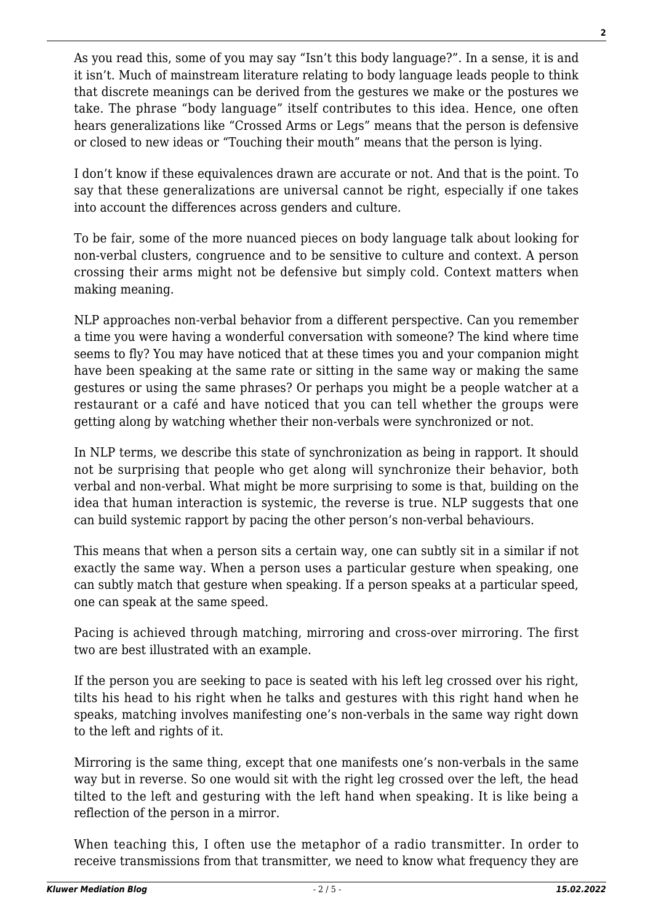As you read this, some of you may say "Isn't this body language?". In a sense, it is and it isn't. Much of mainstream literature relating to body language leads people to think that discrete meanings can be derived from the gestures we make or the postures we take. The phrase "body language" itself contributes to this idea. Hence, one often hears generalizations like "Crossed Arms or Legs" means that the person is defensive or closed to new ideas or "Touching their mouth" means that the person is lying.

I don't know if these equivalences drawn are accurate or not. And that is the point. To say that these generalizations are universal cannot be right, especially if one takes into account the differences across genders and culture.

To be fair, some of the more nuanced pieces on body language talk about looking for non-verbal clusters, congruence and to be sensitive to culture and context. A person crossing their arms might not be defensive but simply cold. Context matters when making meaning.

NLP approaches non-verbal behavior from a different perspective. Can you remember a time you were having a wonderful conversation with someone? The kind where time seems to fly? You may have noticed that at these times you and your companion might have been speaking at the same rate or sitting in the same way or making the same gestures or using the same phrases? Or perhaps you might be a people watcher at a restaurant or a café and have noticed that you can tell whether the groups were getting along by watching whether their non-verbals were synchronized or not.

In NLP terms, we describe this state of synchronization as being in rapport. It should not be surprising that people who get along will synchronize their behavior, both verbal and non-verbal. What might be more surprising to some is that, building on the idea that human interaction is systemic, the reverse is true. NLP suggests that one can build systemic rapport by pacing the other person's non-verbal behaviours.

This means that when a person sits a certain way, one can subtly sit in a similar if not exactly the same way. When a person uses a particular gesture when speaking, one can subtly match that gesture when speaking. If a person speaks at a particular speed, one can speak at the same speed.

Pacing is achieved through matching, mirroring and cross-over mirroring. The first two are best illustrated with an example.

If the person you are seeking to pace is seated with his left leg crossed over his right, tilts his head to his right when he talks and gestures with this right hand when he speaks, matching involves manifesting one's non-verbals in the same way right down to the left and rights of it.

Mirroring is the same thing, except that one manifests one's non-verbals in the same way but in reverse. So one would sit with the right leg crossed over the left, the head tilted to the left and gesturing with the left hand when speaking. It is like being a reflection of the person in a mirror.

When teaching this, I often use the metaphor of a radio transmitter. In order to receive transmissions from that transmitter, we need to know what frequency they are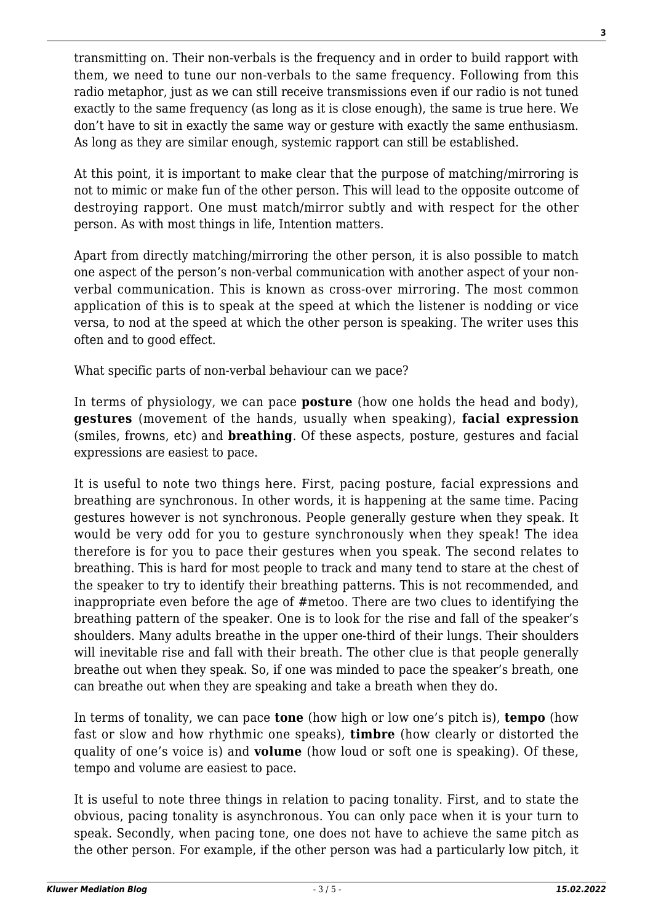transmitting on. Their non-verbals is the frequency and in order to build rapport with them, we need to tune our non-verbals to the same frequency. Following from this radio metaphor, just as we can still receive transmissions even if our radio is not tuned exactly to the same frequency (as long as it is close enough), the same is true here. We don't have to sit in exactly the same way or gesture with exactly the same enthusiasm. As long as they are similar enough, systemic rapport can still be established.

At this point, it is important to make clear that the purpose of matching/mirroring is not to mimic or make fun of the other person. This will lead to the opposite outcome of destroying rapport. One must match/mirror subtly and with respect for the other person. As with most things in life, Intention matters.

Apart from directly matching/mirroring the other person, it is also possible to match one aspect of the person's non-verbal communication with another aspect of your nonverbal communication. This is known as cross-over mirroring. The most common application of this is to speak at the speed at which the listener is nodding or vice versa, to nod at the speed at which the other person is speaking. The writer uses this often and to good effect.

What specific parts of non-verbal behaviour can we pace?

In terms of physiology, we can pace **posture** (how one holds the head and body), **gestures** (movement of the hands, usually when speaking), **facial expression** (smiles, frowns, etc) and **breathing**. Of these aspects, posture, gestures and facial expressions are easiest to pace.

It is useful to note two things here. First, pacing posture, facial expressions and breathing are synchronous. In other words, it is happening at the same time. Pacing gestures however is not synchronous. People generally gesture when they speak. It would be very odd for you to gesture synchronously when they speak! The idea therefore is for you to pace their gestures when you speak. The second relates to breathing. This is hard for most people to track and many tend to stare at the chest of the speaker to try to identify their breathing patterns. This is not recommended, and inappropriate even before the age of #metoo. There are two clues to identifying the breathing pattern of the speaker. One is to look for the rise and fall of the speaker's shoulders. Many adults breathe in the upper one-third of their lungs. Their shoulders will inevitable rise and fall with their breath. The other clue is that people generally breathe out when they speak. So, if one was minded to pace the speaker's breath, one can breathe out when they are speaking and take a breath when they do.

In terms of tonality, we can pace **tone** (how high or low one's pitch is), **tempo** (how fast or slow and how rhythmic one speaks), **timbre** (how clearly or distorted the quality of one's voice is) and **volume** (how loud or soft one is speaking). Of these, tempo and volume are easiest to pace.

It is useful to note three things in relation to pacing tonality. First, and to state the obvious, pacing tonality is asynchronous. You can only pace when it is your turn to speak. Secondly, when pacing tone, one does not have to achieve the same pitch as the other person. For example, if the other person was had a particularly low pitch, it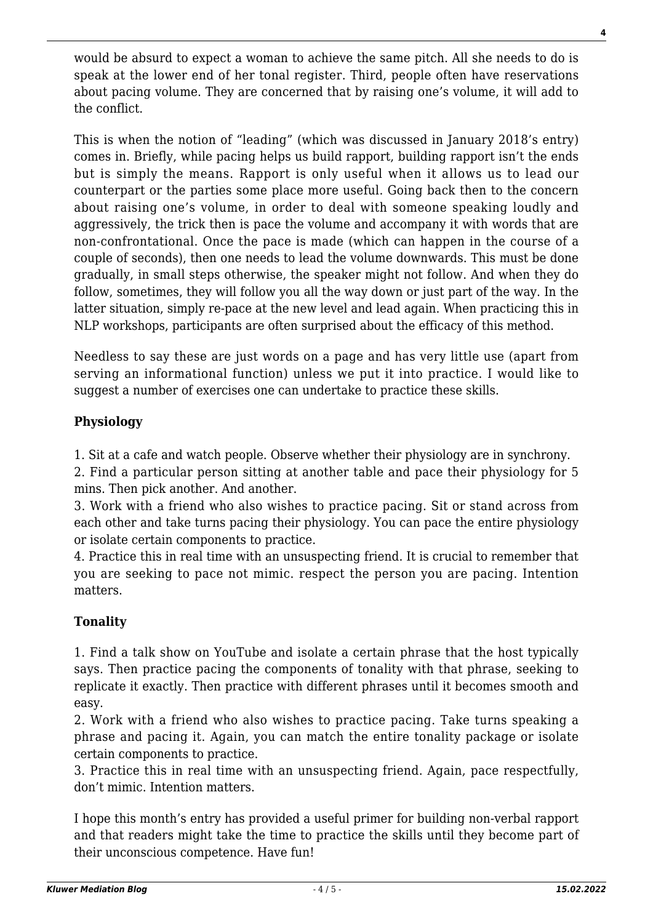would be absurd to expect a woman to achieve the same pitch. All she needs to do is speak at the lower end of her tonal register. Third, people often have reservations about pacing volume. They are concerned that by raising one's volume, it will add to the conflict.

This is when the notion of "leading" (which was discussed in January 2018's entry) comes in. Briefly, while pacing helps us build rapport, building rapport isn't the ends but is simply the means. Rapport is only useful when it allows us to lead our counterpart or the parties some place more useful. Going back then to the concern about raising one's volume, in order to deal with someone speaking loudly and aggressively, the trick then is pace the volume and accompany it with words that are non-confrontational. Once the pace is made (which can happen in the course of a couple of seconds), then one needs to lead the volume downwards. This must be done gradually, in small steps otherwise, the speaker might not follow. And when they do follow, sometimes, they will follow you all the way down or just part of the way. In the latter situation, simply re-pace at the new level and lead again. When practicing this in NLP workshops, participants are often surprised about the efficacy of this method.

Needless to say these are just words on a page and has very little use (apart from serving an informational function) unless we put it into practice. I would like to suggest a number of exercises one can undertake to practice these skills.

## **Physiology**

1. Sit at a cafe and watch people. Observe whether their physiology are in synchrony.

2. Find a particular person sitting at another table and pace their physiology for 5 mins. Then pick another. And another.

3. Work with a friend who also wishes to practice pacing. Sit or stand across from each other and take turns pacing their physiology. You can pace the entire physiology or isolate certain components to practice.

4. Practice this in real time with an unsuspecting friend. It is crucial to remember that you are seeking to pace not mimic. respect the person you are pacing. Intention matters.

## **Tonality**

1. Find a talk show on YouTube and isolate a certain phrase that the host typically says. Then practice pacing the components of tonality with that phrase, seeking to replicate it exactly. Then practice with different phrases until it becomes smooth and easy.

2. Work with a friend who also wishes to practice pacing. Take turns speaking a phrase and pacing it. Again, you can match the entire tonality package or isolate certain components to practice.

3. Practice this in real time with an unsuspecting friend. Again, pace respectfully, don't mimic. Intention matters.

I hope this month's entry has provided a useful primer for building non-verbal rapport and that readers might take the time to practice the skills until they become part of their unconscious competence. Have fun!